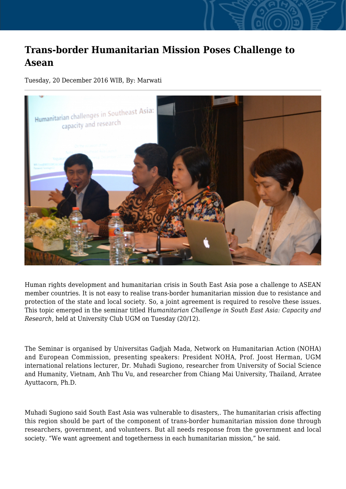## **Trans-border Humanitarian Mission Poses Challenge to Asean**

Tuesday, 20 December 2016 WIB, By: Marwati



Human rights development and humanitarian crisis in South East Asia pose a challenge to ASEAN member countries. It is not easy to realise trans-border humanitarian mission due to resistance and protection of the state and local society. So, a joint agreement is required to resolve these issues. This topic emerged in the seminar titled H*umanitarian Challenge in South East Asia: Capacity and Research*, held at University Club UGM on Tuesday (20/12).

The Seminar is organised by Universitas Gadjah Mada, Network on Humanitarian Action (NOHA) and European Commission, presenting speakers: President NOHA, Prof. Joost Herman, UGM international relations lecturer, Dr. Muhadi Sugiono, researcher from University of Social Science and Humanity, Vietnam, Anh Thu Vu, and researcher from Chiang Mai University, Thailand, Arratee Ayuttacorn, Ph.D.

Muhadi Sugiono said South East Asia was vulnerable to disasters,. The humanitarian crisis affecting this region should be part of the component of trans-border humanitarian mission done through researchers, government, and volunteers. But all needs response from the government and local society. "We want agreement and togetherness in each humanitarian mission," he said.